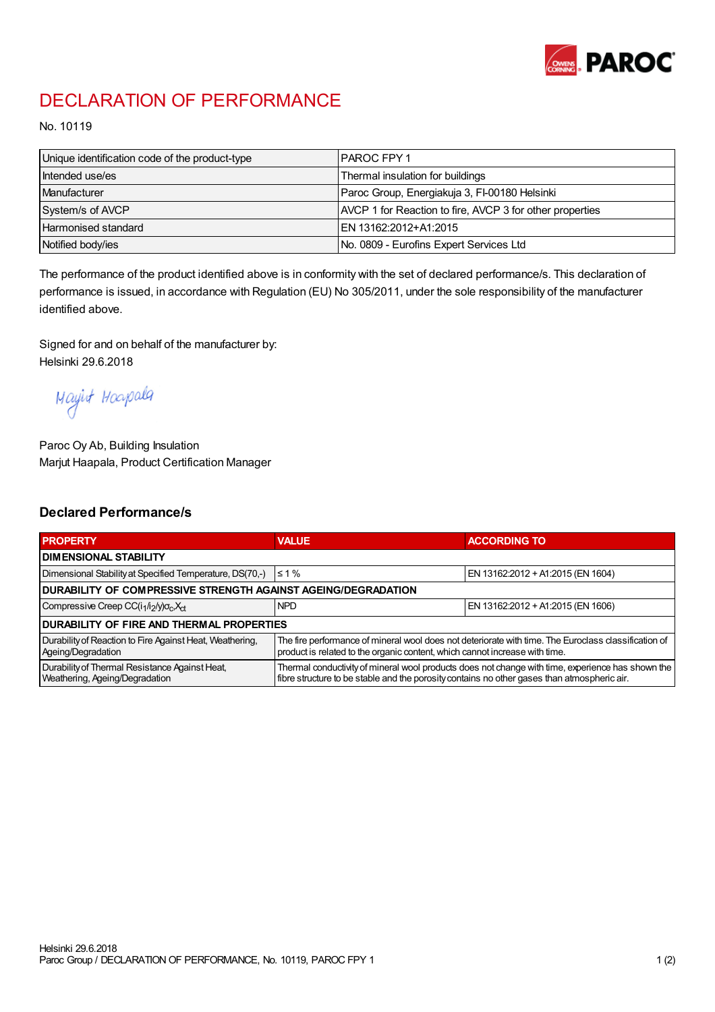

## DECLARATION OF PERFORMANCE

No. 10119

| Unique identification code of the product-type | I PAROC FPY 1                                            |
|------------------------------------------------|----------------------------------------------------------|
| Intended use/es                                | Thermal insulation for buildings                         |
| Manufacturer                                   | Paroc Group, Energiakuja 3, FI-00180 Helsinki            |
| System/s of AVCP                               | AVCP 1 for Reaction to fire, AVCP 3 for other properties |
| <b>Harmonised standard</b>                     | EN 13162:2012+A1:2015                                    |
| Notified body/ies                              | No. 0809 - Eurofins Expert Services Ltd                  |

The performance of the product identified above is in conformity with the set of declared performance/s. This declaration of performance is issued, in accordance with Regulation (EU) No 305/2011, under the sole responsibility of the manufacturer identified above.

Signed for and on behalf of the manufacturer by: Helsinki 29.6.2018

Mayirt Hoapala

Paroc Oy Ab, Building Insulation Marjut Haapala, Product Certification Manager

## Declared Performance/s

| <b>PROPERTY</b>                                                                  | <b>VALUE</b>                                                                                                                                                                                     | <b>ACCORDING TO</b>               |  |  |
|----------------------------------------------------------------------------------|--------------------------------------------------------------------------------------------------------------------------------------------------------------------------------------------------|-----------------------------------|--|--|
| <b>I DIMENSIONAL STABILITY</b>                                                   |                                                                                                                                                                                                  |                                   |  |  |
| Dimensional Stability at Specified Temperature, DS(70,-)                         | $\leq 1\%$                                                                                                                                                                                       | EN 13162:2012 + A1:2015 (EN 1604) |  |  |
| DURABILITY OF COMPRESSIVE STRENGTH AGAINST AGEING/DEGRADATION                    |                                                                                                                                                                                                  |                                   |  |  |
| Compressive Creep CC(i <sub>1</sub> /i <sub>2</sub> /y) $\sigma_c X_{ct}$        | <b>NPD</b>                                                                                                                                                                                       | EN 13162:2012 + A1:2015 (EN 1606) |  |  |
| I DURABILITY OF FIRE AND THERMAL PROPERTIES                                      |                                                                                                                                                                                                  |                                   |  |  |
| Durability of Reaction to Fire Against Heat, Weathering,<br>Ageing/Degradation   | The fire performance of mineral wool does not deteriorate with time. The Euroclass classification of<br>product is related to the organic content, which cannot increase with time.              |                                   |  |  |
| Durability of Thermal Resistance Against Heat,<br>Weathering, Ageing/Degradation | Thermal conductivity of mineral wool products does not change with time, experience has shown the<br>fibre structure to be stable and the porosity contains no other gases than atmospheric air. |                                   |  |  |